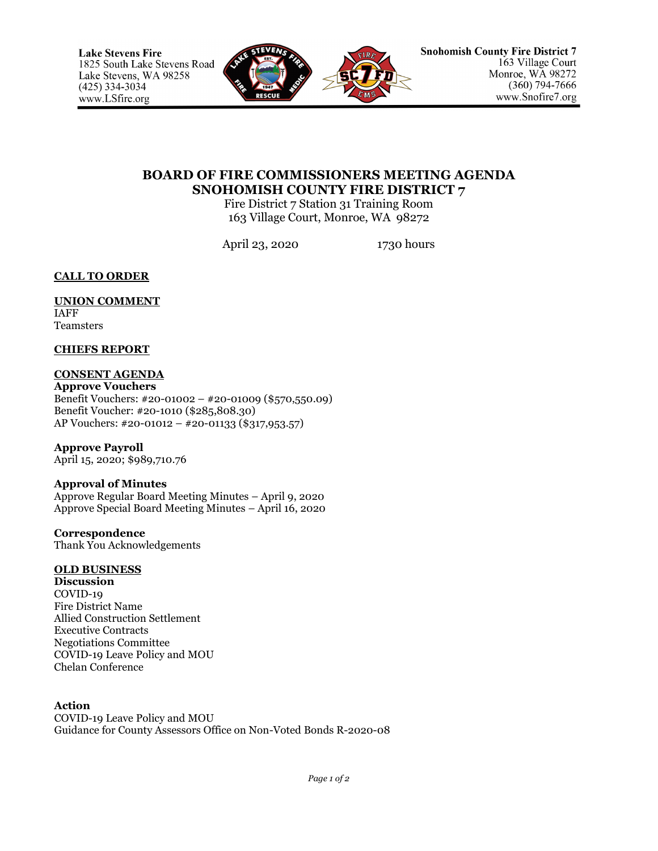

# **BOARD OF FIRE COMMISSIONERS MEETING AGENDA SNOHOMISH COUNTY FIRE DISTRICT 7**

Fire District 7 Station 31 Training Room 163 Village Court, Monroe, WA 98272

April 23, 2020 1730 hours

**CALL TO ORDER**

#### **UNION COMMENT** IAFF

Teamsters

## **CHIEFS REPORT**

# **CONSENT AGENDA**

**Approve Vouchers** Benefit Vouchers: #20-01002 – #20-01009 (\$570,550.09) Benefit Voucher: #20-1010 (\$285,808.30) AP Vouchers: #20-01012 – #20-01133 (\$317,953.57)

# **Approve Payroll**

April 15, 2020; \$989,710.76

## **Approval of Minutes**

Approve Regular Board Meeting Minutes – April 9, 2020 Approve Special Board Meeting Minutes – April 16, 2020

#### **Correspondence** Thank You Acknowledgements

## **OLD BUSINESS**

**Discussion** COVID-19 Fire District Name Allied Construction Settlement Executive Contracts Negotiations Committee COVID-19 Leave Policy and MOU Chelan Conference

## **Action**

COVID-19 Leave Policy and MOU Guidance for County Assessors Office on Non-Voted Bonds R-2020-08